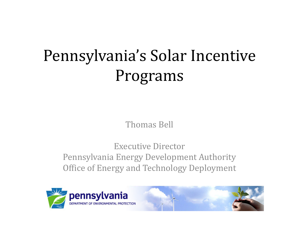# Pennsylvania's Solar Incentive Programs

Thomas Bell

Executive DirectorPennsylvania Energy Development Authority Office of Energy and Technology Deployment

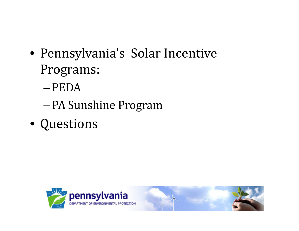- Pennsylvania's Solar Incentive Programs:
	- –PEDA
	- –PA Sunshine Program
- Questions

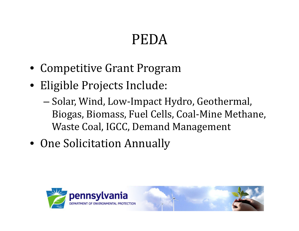### PEDA

- Competitive Grant Program
- Eligible Projects Include:
	- –– Solar, Wind, Low-Impact Hydro, Geothermal, Biogas, Biomass, Fuel Cells, Coal‐Mine Methane, Waste Coal, IGCC, Demand Management
- One Solicitation Annually

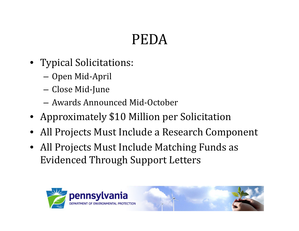# PEDA

- Typical Solicitations:
	- –— Open Mid-April
	- –Close Mid‐June
	- Awards Announced Mid-October
- Approximately \$10 Million per Solicitation
- $\bullet~$  All Projects Must Include a Research Component
- All Projects Must Include Matching Funds as Evidenced Through Support Letters

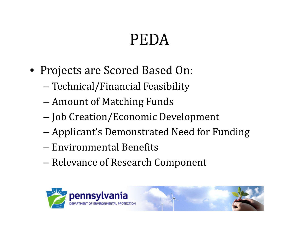# PEDA

- Projects are Scored Based On:
	- Technical/Financial Feasibility
	- –Amount of Matching Funds
	- –— Job Creation/Economic Development
	- –— Applicant's Demonstrated Need for Funding
	- Environmental Benefits
	- –— Relevance of Research Component

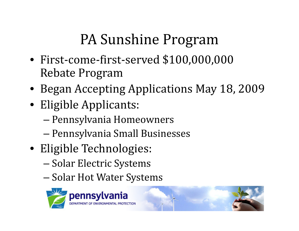- First‐come‐first‐served \$100,000,000 Rebate Program
- Began Accepting Applications May 18, 2009
- Eligible Applicants:
	- Pennsylvania Homeowners
	- –– Pennsylvania Small Businesses
- Eligible Technologies:
	- Solar Electric Systems
	- –– Solar Hot Water Systems

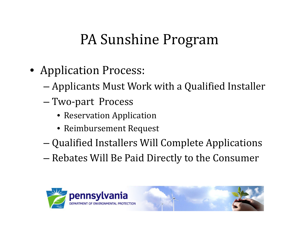- Application Process:
	- Applicants Must Work with a Qualified Installer
	- Two-part Process
		- Reservation Application
		- Reimbursement Request
	- –Qualified Installers Will Complete Applications
	- – $-$  Rebates Will Be Paid Directly to the Consumer

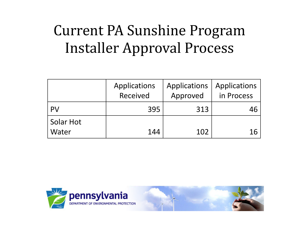# Current PA Sunshine Program Installer Approval Process

|                           | Applications<br>Received | Applications<br>Approved | Applications<br>in Process |
|---------------------------|--------------------------|--------------------------|----------------------------|
| PV                        | 395                      | 313                      |                            |
| <b>Solar Hot</b><br>Water | 144                      | 102                      |                            |

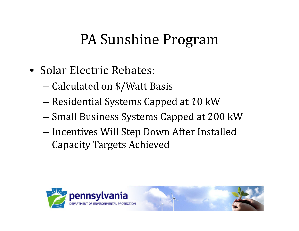- Solar Electric Rebates:
	- Calculated on \$/Watt Basis
	- – $-$  Residential Systems Capped at 10 kW
	- –– Small Business Systems Capped at 200 kW
	- –– Incentives Will Step Down After Installed Capacity Targets Achieved

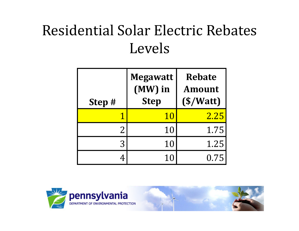#### Residential Solar Electric Rebates Levels

| Step #          | <b>Megawatt</b><br>(MW) in<br><b>Step</b> | <b>Rebate</b><br><b>Amount</b><br>(S/Watt) |  |
|-----------------|-------------------------------------------|--------------------------------------------|--|
|                 | 10                                        | 2.25                                       |  |
| $2\overline{ }$ | 10                                        | 1.75                                       |  |
| 3               | 10                                        | 1.25                                       |  |
|                 | 10                                        | 0.75                                       |  |

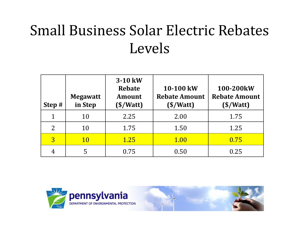# Small Business Solar Electric Rebates Levels

| Step #         | <b>Megawatt</b><br>in Step | 3-10 kW<br><b>Rebate</b><br><b>Amount</b><br>$(\frac{\sqrt{3}}{4})$ | 10-100 kW<br><b>Rebate Amount</b><br>$(\frac{\sqrt{3}}{2})$ | 100-200kW<br><b>Rebate Amount</b><br>$(\frac{$}{\text{Watt}})$ |
|----------------|----------------------------|---------------------------------------------------------------------|-------------------------------------------------------------|----------------------------------------------------------------|
| $\mathbf{1}$   | 10                         | 2.25                                                                | 2.00                                                        | 1.75                                                           |
| 2              | 10                         | 1.75                                                                | 1.50                                                        | 1.25                                                           |
| $\overline{3}$ | <b>10</b>                  | 1.25                                                                | 1.00                                                        | 0.75                                                           |
| 4              |                            | 0.75                                                                | 0.50                                                        | 0.25                                                           |

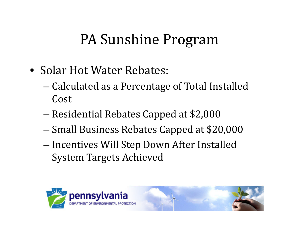- Solar Hot Water Rebates:
	- Calculated as a Percentage of Total Installed Cost
	- –Residential Rebates Capped at \$2,000
	- –— Small Business Rebates Capped at \$20,000
	- Incentives Will Step Down After Installed System Targets Achieved



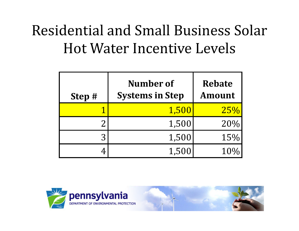# Residential and Small Business Solar Hot Water Incentive Levels

| Step # | Number of<br><b>Systems in Step</b> | <b>Rebate</b><br><b>Amount</b> |  |
|--------|-------------------------------------|--------------------------------|--|
|        | 1,500                               | 25%                            |  |
|        | 1,500                               | 20%                            |  |
| 3      | 1,500                               | 15%                            |  |
|        | 1,500                               |                                |  |

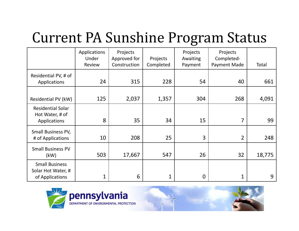#### Current PA Sunshine Pro gram Status

|                                                                | Applications<br>Under<br>Review | Projects<br>Approved for<br>Construction | Projects<br>Completed | Projects<br>Awaiting<br>Payment | Projects<br>Completed-<br>Payment Made | Total  |
|----------------------------------------------------------------|---------------------------------|------------------------------------------|-----------------------|---------------------------------|----------------------------------------|--------|
| Residential PV, # of<br>Applications                           | 24                              | 315                                      | 228                   | 54                              | 40                                     | 661    |
| Residential PV (kW)                                            | 125                             | 2,037                                    | 1,357                 | 304                             | 268                                    | 4,091  |
| <b>Residential Solar</b><br>Hot Water, # of<br>Applications    | 8                               | 35                                       | 34                    | 15                              | 7                                      | 99     |
| Small Business PV,<br># of Applications                        | 10                              | 208                                      | 25                    | 3                               | $\overline{2}$                         | 248    |
| <b>Small Business PV</b><br>(kW)                               | 503                             | 17,667                                   | 547                   | 26                              | 32                                     | 18,775 |
| <b>Small Business</b><br>Solar Hot Water, #<br>of Applications | 1                               | 6                                        | 1                     | $\overline{0}$                  | 1                                      | 9      |

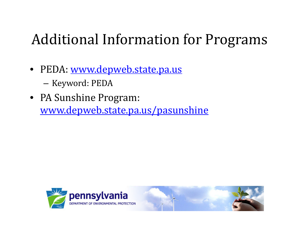#### Additional Information for Programs

- PEDA: <u>www.depweb.state.pa.us</u>
	- –– Keyword: PEDA
- PA Sunshine Program: www.depweb.state.pa.us/pasunshine